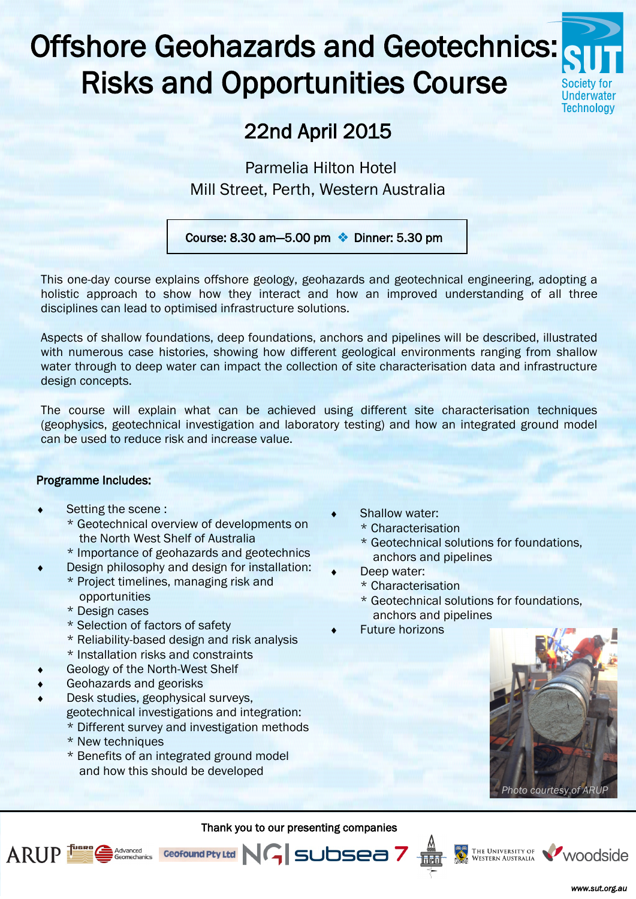# Offshore Geohazards and Geotechnics: Risks and Opportunities Course



## 22nd April 2015

Parmelia Hilton Hotel Mill Street, Perth, Western Australia

Course: 8.30 am  $-5.00$  pm  $\cdot$  Dinner: 5.30 pm

This one-day course explains offshore geology, geohazards and geotechnical engineering, adopting a holistic approach to show how they interact and how an improved understanding of all three disciplines can lead to optimised infrastructure solutions.

Aspects of shallow foundations, deep foundations, anchors and pipelines will be described, illustrated with numerous case histories, showing how different geological environments ranging from shallow water through to deep water can impact the collection of site characterisation data and infrastructure design concepts.

The course will explain what can be achieved using different site characterisation techniques (geophysics, geotechnical investigation and laboratory testing) and how an integrated ground model can be used to reduce risk and increase value.

#### Programme Includes:

- Setting the scene :
	- \* Geotechnical overview of developments on the North West Shelf of Australia
	- \* Importance of geohazards and geotechnics
	- Design philosophy and design for installation:
		- \* Project timelines, managing risk and opportunities
		- \* Design cases
		- \* Selection of factors of safety
		- \* Reliability-based design and risk analysis
		- \* Installation risks and constraints
- Geology of the North-West Shelf

**Advanced**<br>Geomechanics

- Geohazards and georisks
- Desk studies, geophysical surveys, geotechnical investigations and integration:
	- \* Different survey and investigation methods \* New techniques
	- \* Benefits of an integrated ground model and how this should be developed
- Shallow water:
	- \* Characterisation
	- \* Geotechnical solutions for foundations, anchors and pipelines
- Deep water:
	- \* Characterisation
	- \* Geotechnical solutions for foundations, anchors and pipelines
- Future horizons



Thank you to our presenting companies

Geofound Pty Ltd | NG SUDSea 7